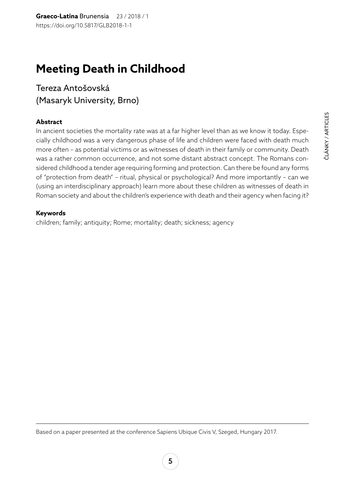# **Meeting Death in Childhood**

Tereza Antošovská (Masaryk University, Brno)

# **Abstract**

In ancient societies the mortality rate was at a far higher level than as we know it today. Especially childhood was a very dangerous phase of life and children were faced with death much more often – as potential victims or as witnesses of death in their family or community. Death was a rather common occurrence, and not some distant abstract concept. The Romans considered childhood a tender age requiring forming and protection. Can there be found any forms of "protection from death" – ritual, physical or psychological? And more importantly – can we (using an interdisciplinary approach) learn more about these children as witnesses of death in Roman society and about the children's experience with death and their agency when facing it?

## **Keywords**

children; family; antiquity; Rome; mortality; death; sickness; agency

Based on a paper presented at the conference Sapiens Ubique Civis V, Szeged, Hungary 2017.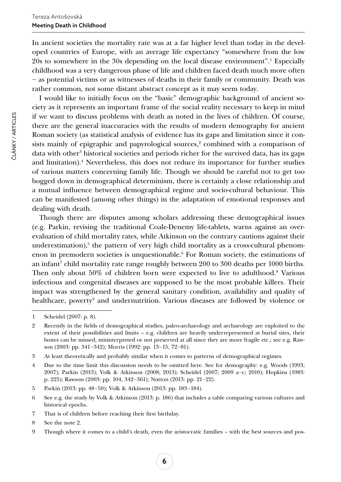In ancient societies the mortality rate was at a far higher level than today in the developed countries of Europe, with an average life expectancy "somewhere from the low 20s to somewhere in the 30s depending on the local disease environment".1 Especially childhood was a very dangerous phase of life and children faced death much more often ‒ as potential victims or as witnesses of deaths in their family or community. Death was rather common, not some distant abstract concept as it may seem today.

I would like to initially focus on the "basic" demographic background of ancient society as it represents an important frame of the social reality necessary to keep in mind if we want to discuss problems with death as noted in the lives of children. Of course, there are the general inaccuracies with the results of modern demography for ancient Roman society (as statistical analysis of evidence has its gaps and limitation since it consists mainly of epigraphic and papyrological sources, $\textsuperscript{2}$  combined with a comparison of data with other<sup>3</sup> historical societies and periods richer for the survived data, has its gaps and limitation).4 Nevertheless, this does not reduce its importance for further studies of various matters concerning family life. Though we should be careful not to get too bogged down in demographical determinism, there is certainly a close relationship and a mutual influence between demographical regime and socio-cultural behaviour. This can be manifested (among other things) in the adaptation of emotional responses and dealing with death.

Though there are disputes among scholars addressing these demographical issues (e.g. Parkin, revising the traditional Coale-Denemy life-tablets, warns against an overevaluation of child mortality rates, while Atkinson on the contrary cautions against their underestimation), $5$  the pattern of very high child mortality as a cross-cultural phenomenon in premodern societies is unquestionable.<sup>6</sup> For Roman society, the estimations of an infant7 child mortality rate range roughly between 200 to 300 deaths per 1000 births. Then only about 50% of children born were expected to live to adulthood.<sup>8</sup> Various infectious and congenital diseases are supposed to be the most probable killers. Their impact was strengthened by the general sanitary condition, availability and quality of healthcare, poverty<sup>9</sup> and undernutrition. Various diseases are followed by violence or

ČLÁNKY / ARTICLES

ČLÁNKY / ARTICLES

<sup>1</sup> Scheidel (2007: p. 8).

<sup>2</sup> Recently in the fields of demographical studies, paleo-archaeology and archaeology are exploited to the extent of their possibilities and limits – e.g. children are heavily underrepresented at burial sites, their bones can be missed, misinterpreted or not preserved at all since they are more fragile etc.; see e.g. Rawson (2003: pp. 341–342); Morris (1992: pp. 13–15, 72–81).

<sup>3</sup> At least theoretically and probably similar when it comes to patterns of demographical regimes.

<sup>4</sup> Due to the time limit this discussion needs to be omitted here. See for demography: e.g. Woods (1993; 2007); Parkin (2013); Volk & Atkinson (2008; 2013); Scheidel (2007; 2009 a‒c; 2010); Hopkins (1983: p. 225); Rawson (2003: pp. 104, 342-361); Nutton (2013: pp. 21-22).

<sup>5</sup> Parkin (2013: pp. 48–50); Volk & Atkinson (2013: pp. 183–184).

<sup>6</sup> See e.g. the study by Volk & Atkinson (2013: p. 186) that includes a table comparing various cultures and historical epochs.

<sup>7</sup> That is of children before reaching their first birthday.

<sup>8</sup> See the note 2.

<sup>9</sup> Though where it comes to a child's death, even the aristocratic families – with the best sources and pos-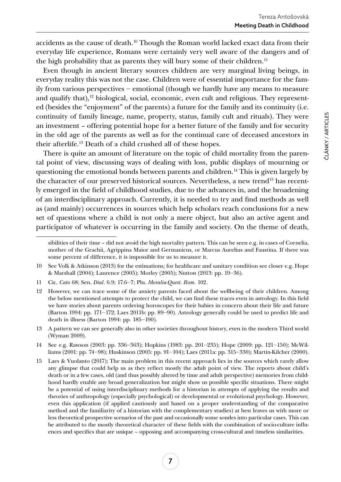accidents as the cause of death.10 Though the Roman world lacked exact data from their everyday life experience, Romans were certainly very well aware of the dangers and of the high probability that as parents they will bury some of their children.<sup>11</sup>

Even though in ancient literary sources children are very marginal living beings, in everyday reality this was not the case. Children were of essential importance for the family from various perspectives ‒ emotional (though we hardly have any means to measure and qualify that), $12$  biological, social, economic, even cult and religious. They represented (besides the "enjoyment" of the parents) a future for the family and its continuity (i.e. continuity of family lineage, name, property, status, family cult and rituals). They were an investment – offering potential hope for a better future of the family and for security in the old age of the parents as well as for the continual care of deceased ancestors in their afterlife.13 Death of a child crushed all of these hopes.

There is quite an amount of literature on the topic of child mortality from the parental point of view, discussing ways of dealing with loss, public displays of mourning or questioning the emotional bonds between parents and children.<sup>14</sup> This is given largely by the character of our preserved historical sources. Nevertheless, a new trend<sup>15</sup> has recently emerged in the field of childhood studies, due to the advances in, and the broadening of an interdisciplinary approach. Currently, it is needed to try and find methods as well as (and mainly) occurrences in sources which help scholars reach conclusions for a new set of questions where a child is not only a mere object, but also an active agent and participator of whatever is occurring in the family and society. On the theme of death,

13 A pattern we can see generally also in other societies throughout history, even in the modern Third world (Wyman 2009).

14 See e.g. Rawson (2003: pp. 336–363); Hopkins (1983: pp. 201–235); Hope (2009: pp. 121–150); McWilliams (2001: pp. 74–98); Huskinson (2005: pp. 91–104); Laes (2011a: pp. 315–330); Martin-Kilcher (2000).

sibilities of their time – did not avoid the high mortality pattern. This can be seen e.g. in cases of Cornelia, mother of the Grachii, Agrippina Maior and Germanicus, or Marcus Aurelius and Faustina. If there was some percent of difference, it is impossible for us to measure it.

<sup>10</sup> See Volk & Atkinson (2013) for the estimations; for healthcare and sanitary condition see closer e.g. Hope & Marshall (2004); Laurence (2005); Morley (2005); Nutton (2013: pp. 19‒36).

<sup>11</sup> Cic. *Cato* 68; Sen. *Dial*. 6.9; 17.6‒7; Plu. *Moralia-Quest. Rom*. 102.

<sup>12</sup> However, we can trace some of the anxiety parents faced about the wellbeing of their children. Among the below mentioned attempts to protect the child, we can find these traces even in astrology. In this field we have stories about parents ordering horoscopes for their babies in concern about their life and future (Barton 1994: pp. 171–172; Laes 2011b: pp. 89–90). Astrology generally could be used to predict life and death in illness (Barton 1994: pp. 185-190).

<sup>15</sup> Laes & Vuolanto (2017); The main problem in this recent approach lies in the sources which rarely allow any glimpse that could help us as they reflect mostly the adult point of view. The reports about child's death or in a few cases, old (and thus possibly altered by time and adult perspective) memories from childhood hardly enable any broad generalization but might show us possible specific situations. There might be a potential of using interdisciplinary methods for a historian in attempts of applying the results and theories of anthropology (especially psychological) or developmental or evolutional psychology. However, even this application (if applied cautiously and based on a proper understanding of the comparative method and the familiarity of a historian with the complementary studies) at best leaves us with more or less theoretical prospective scenarios of the past and occasionally some sondes into particular cases. This can be attributed to the mostly theoretical character of these fields with the combination of socio-culture influences and specifics that are unique – opposing and accompanying cross-cultural and timeless similarities.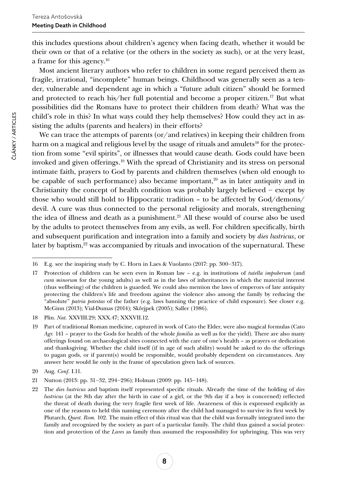this includes questions about children's agency when facing death, whether it would be their own or that of a relative (or the others in the society as such), or at the very least, a frame for this agency.16

Most ancient literary authors who refer to children in some regard perceived them as fragile, irrational, "incomplete" human beings. Childhood was generally seen as a tender, vulnerable and dependent age in which a "future adult citizen" should be formed and protected to reach his/her full potential and become a proper citizen.<sup>17</sup> But what possibilities did the Romans have to protect their children from death? What was the child's role in this? In what ways could they help themselves? How could they act in assisting the adults (parents and healers) in their efforts?

We can trace the attempts of parents (or/and relatives) in keeping their children from harm on a magical and religious level by the usage of rituals and amulets<sup>18</sup> for the protection from some "evil spirits", or illnesses that would cause death. Gods could have been invoked and given offerings.19 With the spread of Christianity and its stress on personal intimate faith, prayers to God by parents and children themselves (when old enough to be capable of such performance) also became important, $20$  as in later antiquity and in Christianity the concept of health condition was probably largely believed  $-$  except by those who would still hold to Hippocratic tradition – to be affected by God/demons/ devil. A cure was thus connected to the personal religiosity and morals, strengthening the idea of illness and death as a punishment.<sup>21</sup> All these would of course also be used by the adults to protect themselves from any evils, as well. For children specifically, birth and subsequent purification and integration into a family and society by *dies lustricus*, or later by baptism,<sup>22</sup> was accompanied by rituals and invocation of the supernatural. These

<sup>16</sup> E.g. see the inspiring study by C. Horn in Laes & Vuolanto (2017: pp. 300‒317).

<sup>17</sup> Protection of children can be seen even in Roman law – e.g. in institutions of *tutella impuberum* (and *cura minorum* for the young adults) as well as in the laws of inheritances in which the material interest (thus wellbeing) of the children is guarded. We could also mention the laws of emperors of late antiquity protecting the children's life and freedom against the violence also among the family by reducing the "absolute" *patria potestas* of the father (e.g. laws banning the practice of child exposure). See closer e.g. McGinn (2013); Vial-Dumas (2014); Skřejpek (2005); Saller (1986).

<sup>18</sup> Plin. *Nat.* XXVIII.29; XXX.47; XXXVII.12.

<sup>19</sup> Part of traditional Roman medicine, captured in work of Cato the Elder, were also magical formulas (Cato *Agr.* 141 – prayer to the Gods for health of the whole *familia* as well as for the yield). There are also many offerings found on archaeological sites connected with the care of one's health – as prayers or dedication and thanksgiving. Whether the child itself (if in age of such ability) would be asked to do the offerings to pagan gods, or if parent(s) would be responsible, would probably dependent on circumstances. Any answer here would lie only in the frame of speculation given lack of sources.

<sup>20</sup> Aug. *Conf*. I.11.

<sup>21</sup> Nutton (2013: pp. 31‒32, 294‒296); Holman (2009: pp. 145‒148).

<sup>22</sup> The *dies lustricus* and baptism itself represented specific rituals. Already the time of the holding of *dies lustricus* (at the 8th day after the birth in case of a girl, or the 9th day if a boy is concerned) reflected the threat of death during the very fragile first week of life. Awareness of this is expressed explicitly as one of the reasons to held this naming ceremony after the child had managed to survive its first week by Plutarch, *Quest. Rom.* 102. The main effect of this ritual was that the child was formally integrated into the family and recognized by the society as part of a particular family. The child thus gained a social protection and protection of the *Lares* as family thus assumed the responsibility for upbringing. This was very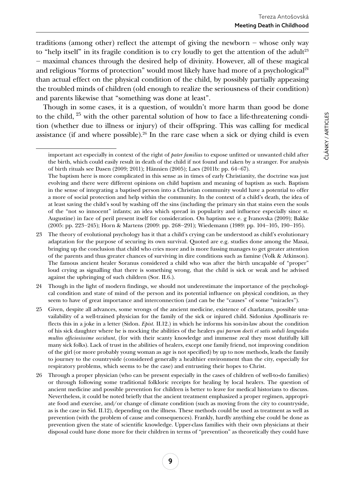traditions (among other) reflect the attempt of giving the newborn  $-$  whose only way to "help itself" in its fragile condition is to cry loudly to get the attention of the adult<sup>23</sup> ‒ maximal chances through the desired help of divinity. However, all of these magical and religious "forms of protection" would most likely have had more of a psychological $24$ than actual effect on the physical condition of the child, by possibly partially appeasing the troubled minds of children (old enough to realize the seriousness of their condition) and parents likewise that "something was done at least".

Though in some cases, it is a question, of wouldn't more harm than good be done to the child, <sup>25</sup> with the other parental solution of how to face a life-threatening condition (whether due to illness or injury) of their offspring. This was calling for medical assistance (if and where possible).<sup>26</sup> In the rare case when a sick or dying child is even

important act especially in context of the right of *pater familias* to expose unfitted or unwanted child after the birth, which could easily result in death of the child if not found and taken by a stranger. For analysis of birth rituals see Dasen (2009; 2011); Hännien (2005); Laes (2011b: pp. 64‒67).

The baptism here is more complicated in this sense as in times of early Christianity, the doctrine was just evolving and there were different opinions on child baptism and meaning of baptism as such. Baptism in the sense of integrating a baptised person into a Christian community would have a potential to offer a more of social protection and help within the community. In the context of a child's death, the idea of at least saving the child's soul by washing off the sins (including the primary sin that stains even the souls of the "not so innocent" infants; an idea which spread in popularity and influence especially since st. Augustine) in face of peril present itself for consideration. On baptism see e. g Ivanovska (2009); Bakke (2005: pp. 223–245); Horn & Martens (2009: pp. 268–291); Wiedemann (1989: pp. 104–105, 190–195).

<sup>23</sup> The theory of evolutional psychology has it that a child's crying can be understood as child's evolutionary adaptation for the purpose of securing its own survival. Quoted are e.g. studies done among the Masai, bringing up the conclusion that child who cries more and is more fussing manages to get greater attention of the parents and thus greater chances of surviving in dire conditions such as famine (Volk & Atkinson). The famous ancient healer Soranus considered a child who was after the birth uncapable of "proper" loud crying as signalling that there is something wrong, that the child is sick or weak and he advised against the upbringing of such children (Sor. II.6.).

<sup>24</sup> Though in the light of modern findings, we should not underestimate the importance of the psychological condition and state of mind of the person and its potential influence on physical condition, as they seem to have of great importance and interconnection (and can be the "causes" of some "miracles").

<sup>25</sup> Given, despite all advances, some wrongs of the ancient medicine, existence of charlatans, possible unavailability of a well-trained physician for the family of the sick or injured child. Sidonius Apollinaris reflects this in a joke in a letter (Sidon. *Epist.* II.12.) in which he informs his son-in-law about the condition of his sick daughter where he is mocking the abilities of the healers *qui parum docti et satis seduli languidos multos officiosissime occidunt*, (for with their scanty knowledge and immense zeal they most dutifully kill many sick folks). Lack of trust in the abilities of healers, except one family friend, not improving condition of the girl (or more probably young woman as age is not specified) by up to now methods, leads the family to journey to the countryside (considered generally a healthier environment than the city, especially for respiratory problems, which seems to be the case) and entrusting their hopes to Christ.

<sup>26</sup> Through a proper physician (who can be present especially in the cases of children of well-to-do families) or through following some traditional folkloric receipts for healing by local healers. The question of ancient medicine and possible prevention for children is better to leave for medical historians to discuss. Nevertheless, it could be noted briefly that the ancient treatment emphasized a proper regimen, appropriate food and exercise, and/or change of climate condition (such as moving from the city to countryside, as is the case in Sid. II.12), depending on the illness. These methods could be used as treatment as well as prevention (with the problem of cause and consequences). Frankly, hardly anything else could be done as prevention given the state of scientific knowledge. Upper-class families with their own physicians at their disposal could have done more for their children in terms of "prevention" as theoretically they could have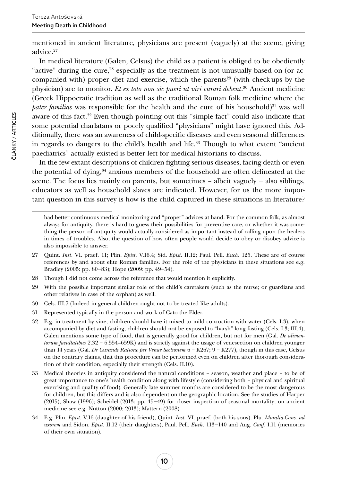mentioned in ancient literature, physicians are present (vaguely) at the scene, giving advice.<sup>27</sup>

In medical literature (Galen, Celsus) the child as a patient is obliged to be obediently "active" during the cure, $28$  especially as the treatment is not unusually based on (or accompanied with) proper diet and exercise, which the parents<sup>29</sup> (with check-ups by the physician) are to monitor. *Et ex toto non sic pueri ut viri curari debent*. 30 Ancient medicine (Greek Hippocratic tradition as well as the traditional Roman folk medicine where the *pater familias* was responsible for the health and the cure of his household)<sup>31</sup> was well aware of this fact.32 Even though pointing out this "simple fact" could also indicate that some potential charlatans or poorly qualified "physicians" might have ignored this. Additionally, there was an awareness of child-specific diseases and even seasonal differences in regards to dangers to the child's health and life.<sup>33</sup> Though to what extent "ancient" paediatrics" actually existed is better left for medical historians to discuss.

In the few extant descriptions of children fighting serious diseases, facing death or even the potential of dying,34 anxious members of the household are often delineated at the scene. The focus lies mainly on parents, but sometimes  $-$  albeit vaguely  $-$  also siblings, educators as well as household slaves are indicated. However, for us the more important question in this survey is how is the child captured in these situations in literature?

had better continuous medical monitoring and "proper" advices at hand. For the common folk, as almost always for antiquity, there is hard to guess their possibilities for preventive care, or whether it was something the person of antiquity would actually considered as important instead of calling upon the healers in times of troubles. Also, the question of how often people would decide to obey or disobey advice is also impossible to answer.

<sup>27</sup> Quint. *Inst*. VI. praef. 11; Plin. *Epist*. V.16.4; Sid. *Epist*. II.12; Paul. Pell. *Euch*. 125. These are of course references by and about elite Roman families. For the role of the physicians in these situations see e.g. Bradley (2005: pp. 80‒83); Hope (2009: pp. 49‒54).

<sup>28</sup> Though I did not come across the reference that would mention it explicitly.

<sup>29</sup> With the possible important similar role of the child's caretakers (such as the nurse; or guardians and other relatives in case of the orphan) as well.

<sup>30</sup> Cels. III.7 (Indeed in general children ought not to be treated like adults).

<sup>31</sup> Represented typically in the person and work of Cato the Elder.

<sup>32</sup> E.g. in treatment by vine, children should have it mixed to mild concoction with water (Cels. I.3), when accompanied by diet and fasting, children should not be exposed to "harsh" long fasting (Cels. I.3; III.4), Galen mentions some type of food, that is generally good for children, but not for men (Gal. *De alimentorum facultatibus* 2.32 = 6.554–659K) and is strictly against the usage of venesection on children younger than 14 years (Gal. *De Curandi Ratione per Venae Sectionem* 6 = K267; 9 = K277), though in this case, Celsus on the contrary claims, that this procedure can be performed even on children after thorough consideration of their condition, especially their strength (Cels. II.10).

<sup>33</sup> Medical theories in antiquity considered the natural conditions – season, weather and place – to be of great importance to one's health condition along with lifestyle (considering both – physical and spiritual exercising and quality of food). Generally late summer months are considered to be the most dangerous for children, but this differs and is also dependent on the geographic location. See the studies of Harper (2015); Shaw (1996); Scheidel (2013: pp. 45–49) for closer inspection of seasonal mortality; on ancient medicine see e.g. Nutton (2000; 2013); Mattern (2008).

<sup>34</sup> E.g. Plin. *Epist.* V.16 (daughter of his friend), Quint. *Inst.* VI. praef. (both his sons), Plu. *Moralia-Cons. ad uxorem* and Sidon. *Epist*. II.12 (their daughters), Paul. Pell. *Euch*. 113‒140 and Aug. *Conf*. I.11 (memories of their own situation).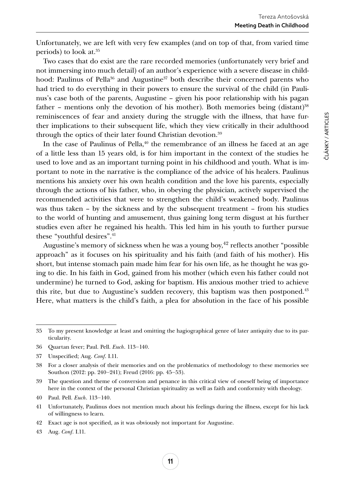Unfortunately, we are left with very few examples (and on top of that, from varied time periods) to look at.35

Two cases that do exist are the rare recorded memories (unfortunately very brief and not immersing into much detail) of an author's experience with a severe disease in childhood: Paulinus of Pella<sup>36</sup> and Augustine<sup>37</sup> both describe their concerned parents who had tried to do everything in their powers to ensure the survival of the child (in Paulinus's case both of the parents, Augustine – given his poor relationship with his pagan father – mentions only the devotion of his mother). Both memories being (distant)<sup>38</sup> reminiscences of fear and anxiety during the struggle with the illness, that have further implications to their subsequent life, which they view critically in their adulthood through the optics of their later found Christian devotion.<sup>39</sup>

In the case of Paulinus of Pella, $40$  the remembrance of an illness he faced at an age of a little less than 15 years old, is for him important in the context of the studies he used to love and as an important turning point in his childhood and youth. What is important to note in the narrative is the compliance of the advice of his healers. Paulinus mentions his anxiety over his own health condition and the love his parents, especially through the actions of his father, who, in obeying the physician, actively supervised the recommended activities that were to strengthen the child's weakened body. Paulinus was thus taken – by the sickness and by the subsequent treatment – from his studies to the world of hunting and amusement, thus gaining long term disgust at his further studies even after he regained his health. This led him in his youth to further pursue these "youthful desires".<sup>41</sup>

Augustine's memory of sickness when he was a young boy, $42$  reflects another "possible" approach" as it focuses on his spirituality and his faith (and faith of his mother). His short, but intense stomach pain made him fear for his own life, as he thought he was going to die. In his faith in God, gained from his mother (which even his father could not undermine) he turned to God, asking for baptism. His anxious mother tried to achieve this rite, but due to Augustine's sudden recovery, this baptism was then postponed. $43$ Here, what matters is the child's faith, a plea for absolution in the face of his possible

ČLÁNKY / ARTICLES

ČLÁNKY / ARTICLES

<sup>35</sup> To my present knowledge at least and omitting the hagiographical genre of later antiquity due to its particularity.

<sup>36</sup> Quartan fever; Paul. Pell. *Euch*. 113‒140.

<sup>37</sup> Unspecified; Aug. *Conf*. I.11.

<sup>38</sup> For a closer analysis of their memories and on the problematics of methodology to these memories see Southon (2012: pp. 240–241); Freud (2016: pp. 45–53).

<sup>39</sup> The question and theme of conversion and penance in this critical view of oneself being of importance here in the context of the personal Christian spirituality as well as faith and conformity with theology.

<sup>40</sup> Paul. Pell. *Euch*. 113‒140.

<sup>41</sup> Unfortunately, Paulinus does not mention much about his feelings during the illness, except for his lack of willingness to learn.

<sup>42</sup> Exact age is not specified, as it was obviously not important for Augustine.

<sup>43</sup> Aug. *Conf*. I.11.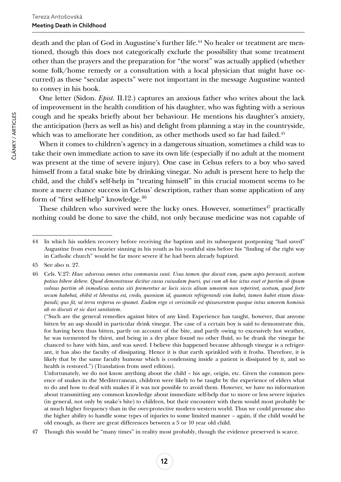death and the plan of God in Augustine's further life.44 No healer or treatment are mentioned, though this does not categorically exclude the possibility that some treatment other than the prayers and the preparation for "the worst" was actually applied (whether some folk/home remedy or a consultation with a local physician that might have occurred) as these "secular aspects" were not important in the message Augustine wanted to convey in his book.

One letter (Sidon. *Epist.* II.12.) captures an anxious father who writes about the lack of improvement in the health condition of his daughter, who was fighting with a serious cough and he speaks briefly about her behaviour. He mentions his daughter's anxiety, the anticipation (hers as well as his) and delight from planning a stay in the countryside, which was to ameliorate her condition, as other methods used so far had failed.<sup>45</sup>

When it comes to children's agency in a dangerous situation, sometimes a child was to take their own immediate action to save its own life (especially if no adult at the moment was present at the time of severe injury). One case in Celsus refers to a boy who saved himself from a fatal snake bite by drinking vinegar. No adult is present here to help the child, and the child's self-help in "treating himself" in this crucial moment seems to be more a mere chance success in Celsus' description, rather than some application of any form of "first self-help" knowledge.<sup>46</sup>

These children who survived were the lucky ones. However, sometimes<sup> $47$ </sup> practically nothing could be done to save the child, not only because medicine was not capable of

("Such are the general remedies against bites of any kind. Experience has taught, however, that anyone bitten by an asp should in particular drink vinegar. The case of a certain boy is said to demonstrate this, for having been thus bitten, partly on account of the bite, and partly owing to excessively hot weather, he was tormented by thirst, and being in a dry place found no other fluid, so he drank the vinegar he chanced to have with him, and was saved. I believe this happened because although vinegar is a refrigerant, it has also the faculty of dissipating. Hence it is that earth sprinkled with it froths. Therefore, it is likely that by the same faculty humour which is condensing inside a patient is dissipated by it, and so health is restored.") (Translation from used edition).

Unfortunately, we do not know anything about the child – his age, origin, etc. Given the common presence of snakes in the Mediterranean, children were likely to be taught by the experience of elders what to do and how to deal with snakes if it was not possible to avoid them. However, we have no information about transmitting any common knowledge about immediate self-help due to more or less severe injuries (in general, not only by snake's bite) to children, but their encounter with them would most probably be at much higher frequency than in the over-protective modern western world. Thus we could presume also the higher ability to handle some types of injuries to some limited manner – again, if the child would be old enough, as there are great differences between a 5 or 10 year old child.

47 Though this would be "many times" in reality most probably, though the evidence preserved is scarce.

<sup>44</sup> In which his sudden recovery before receiving the baptism and its subsequent postponing "had saved" Augustine from even heavier sinning in his youth as his youthful sins before his "finding of the right way in Catholic church" would be far more severe if he had been already baptized.

<sup>45</sup> See also n. 27.

<sup>46</sup> Cels. V.27: *Haec adversus omnes ictus communia sunt. Usus tamen ipse docuit eum, quem aspis percussit, acetum potius bibere debere. Quod demonstrasse dicitur casus cuiusdam pueri, qui cum ab hac ictus esset et partim ob ipsum volnus partim ob inmodicus aestus siti premeretur ac locis siccis alium umorem non reperiret, acetum, quod forte secum habebat, ebibit et liberatus est, credo, quoniam id, quamvis refrigerandi vim habet, tamen habet etiam dissupandi; quo fit, ut terra respersa eo spumet. Eadem ergo vi verisimile est spissescentem quoque intus umorem hominis ab eo discuti et sic dari sanitatem*.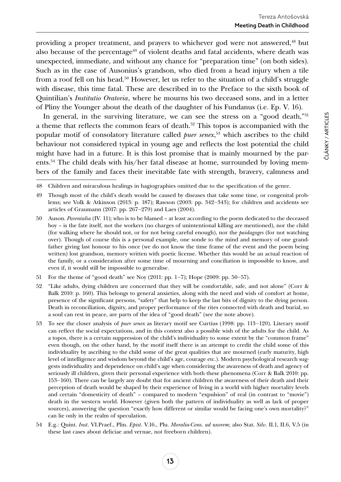providing a proper treatment, and prayers to whichever god were not answered,<sup>48</sup> but also because of the percentage<sup>49</sup> of violent deaths and fatal accidents, where death was unexpected, immediate, and without any chance for "preparation time" (on both sides). Such as in the case of Ausonius's grandson, who died from a head injury when a tile from a roof fell on his head.50 However, let us refer to the situation of a child's struggle with disease, this time fatal. These are described in to the Preface to the sixth book of Quintilian's *Institutio Oratoria*, where he mourns his two deceased sons, and in a letter of Pliny the Younger about the death of the daughter of his Fundanus (i.e. Ep. V. 16).

In general, in the surviving literature, we can see the stress on a "good death,"<sup>51</sup> a theme that reflects the common fears of death.<sup>52</sup> This topos is accompanied with the popular motif of consolatory literature called *puer senex*, <sup>53</sup> which ascribes to the child behaviour not considered typical in young age and reflects the lost potential the child might have had in a future. It is this lost promise that is mainly mourned by the parents.<sup>54</sup> The child deals with his/her fatal disease at home, surrounded by loving members of the family and faces their inevitable fate with strength, bravery, calmness and

- 51 For the theme of "good death" see Noy (2011: pp. 1‒7); Hope (2009: pp. 50‒57).
- 52 "Like adults, dying children are concerned that they will be comfortable, safe, and not alone" (Corr & Balk 2010: p. 160). This belongs to general anxieties, along with the need and wish of comfort at home, presence of the significant persons, "safety" that help to keep the last bits of dignity to the dying person. Death in reconciliation, dignity, and proper performance of the rites connected with death and burial, so a soul can rest in peace, are parts of the idea of "good death" (see the note above).
- 53 To see the closer analysis of *puer senex* as literary motif see Curtius (1998: pp. 113–120). Literary motif can reflect the social expectations, and in this context also a possible wish of the adults for the child. As a topos, there is a certain suppression of the child's individuality to some extent by the "common frame" even though, on the other hand, by the motif itself there is an attempt to credit the child some of this individuality by ascribing to the child some of the great qualities that are mourned (early maturity, high level of intelligence and wisdom beyond the child's age, courage etc.). Modern psychological research suggests individuality and dependence on child's age when considering the awareness of death and agency of seriously ill children, given their personal experience with both these phenomena (Corr & Balk 2010: pp. 153‒160). There can be largely any doubt that for ancient children the awareness of their death and their perception of death would be shaped by their experience of living in a world with higher mortality levels and certain "domesticity of death" – compared to modern "expulsion" of real (in contrast to "movie") death in the western world. However (given both the pattern of individuality as well as lack of proper sources), answering the question "exactly how different or similar would be facing one's own mortality?" can lie only in the realm of speculation.
- 54 E.g.: Quint. *Inst*. VI.Praef., Plin. *Epist*. V.16., Plu. *Moralia-Cons. ad uxorem*; also Stat. *Silv*. II.1, II.6, V.5 (in these last cases about deliciae and vernae, not freeborn children).

<sup>48</sup> Children and miraculous healings in hagiographies omitted due to the specification of the genre.

<sup>49</sup> Though most of the child's death would be caused by diseases that take some time, or congenital problems; see Volk & Atkinson (2013: p. 187); Rawson (2003: pp. 342‒343); for children and accidents see articles of Graumann (2017: pp. 267-279) and Laes (2004).

<sup>50</sup> Auson. *Parentalia* (IV. 11); who is to be blamed – at least according to the poem dedicated to the deceased boy – is the fate itself, not the workers (no charges of unintentional killing are mentioned), nor the child (for walking where he should not, or for not being careful enough), nor the *paidagoges* (for not watching over). Though of course this is a personal example, one sonde to the mind and memory of one grandfather giving last honour to his once (we do not know the time frame of the event and the poem being written) lost grandson, memory written with poetic license. Whether this would be an actual reaction of the family, or a consideration after some time of mourning and conciliation is impossible to know, and even if, it would still be impossible to generalise.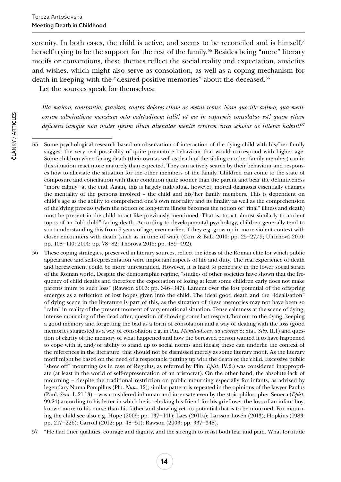serenity. In both cases, the child is active, and seems to be reconciled and is himself/ herself trying to be the support for the rest of the family.55 Besides being "mere" literary motifs or conventions, these themes reflect the social reality and expectation, anxieties and wishes, which might also serve as consolation, as well as a coping mechanism for death in keeping with the "desired positive memories" about the deceased.<sup>56</sup>

Let the sources speak for themselves:

*Illa maiora, constantia, gravitas, contra dolores etiam ac metus robur. Nam quo ille animo, qua medicorum admiratione mensium octo valetudinem tulit! ut me in supremis consolatus est! quam etiam deficiens iamque non noster ipsum illum alienatae mentis errorem circa scholas ac litteras habuit!57*

- 56 These coping strategies, preserved in literary sources, reflect the ideas of the Roman elite for which public appearance and self-representation were important aspects of life and duty. The real experience of death and bereavement could be more unrestrained. However, it is hard to penetrate in the lower social strata of the Roman world. Despite the demographic regime, "studies of other societies have shown that the frequency of child deaths and therefore the expectation of losing at least some children early does not make parents inure to such loss" (Rawson 2003: pp. 346–347). Lament over the lost potential of the offspring emerges as a reflection of lost hopes given into the child. The ideal good death and the "idealisation" of dying scene in the literature is part of this, as the situation of these memories may not have been so "calm" in reality of the present moment of very emotional situation. Tense calmness at the scene of dying, intense mourning of the dead after, question of showing some last respect/honour to the dying, keeping a good memory and forgetting the bad as a form of consolation and a way of dealing with the loss (good memories suggested as a way of consolation e.g. in Plu. *Moralia-Cons. ad uxorem* 8; Stat. *Silv*. II.1) and question of clarity of the memory of what happened and how the bereaved person wanted it to have happened to cope with it, and/or ability to stand up to social norms and ideals; these can underlie the context of the references in the literature, that should not be dismissed merely as some literary motif. As the literary motif might be based on the need of a respectable putting up with the death of the child. Excessive public "show off" mourning (as in case of Regulus, as referred by Plin. *Epist*. IV.2.) was considered inappropriate (at least in the world of self-representation of an aristocrat). On the other hand, the absolute lack of mourning – despite the traditional restriction on public mourning especially for infants, as advised by legendary Numa Pompilius (Plu. *Num.* 12); similar pattern is repeated in the opinions of the lawyer Paulus (Paul. *Sent.* I. 21.13) – was considered inhuman and insensate even by the stoic philosopher Seneca (*Epist.*  99.24) according to his letter in which he is rebuking his friend for his grief over the loss of an infant boy, known more to his nurse than his father and showing yet no potential that is to be mourned. For mourning the child see also e.g. Hope (2009: pp. 137–141); Laes (2011a); Larsson Lovén (2013); Hopkins (1983: pp. 217‒226); Carroll (2012: pp. 48‒51); Rawson (2003: pp. 337‒348).
- 57 "He had finer qualities, courage and dignity, and the strength to resist both fear and pain. What fortitude

<sup>55</sup> Some psychological research based on observation of interaction of the dying child with his/her family suggest the very real possibility of quite premature behaviour that would correspond with higher age. Some children when facing death (their own as well as death of the sibling or other family member) can in this situation react more maturely than expected. They can actively search by their behaviour and responses how to alleviate the situation for the other members of the family. Children can come to the state of composure and conciliation with their condition quite sooner than the parent and bear the definitiveness "more calmly" at the end. Again, this is largely individual, however, mortal diagnosis essentially changes the mentality of the persons involved – the child and his/her family members. This is dependent on child's age as the ability to comprehend one's own mortality and its finality as well as the comprehension of the dying process (when the notion of long-term illness becomes the notion of "final" illness and death) must be present in the child to act like previously mentioned. That is, to act almost similarly to ancient topos of an "old child" facing death. According to developmental psychology, children generally tend to start understanding this from 9 years of age, even earlier, if they e.g. grow up in more violent context with closer encounters with death (such as in time of war). (Corr & Balk 2010: pp. 25‒27/9; Ulrichová 2010: pp. 108‒110; 2014: pp. 78‒82; Thorová 2015: pp. 489‒492).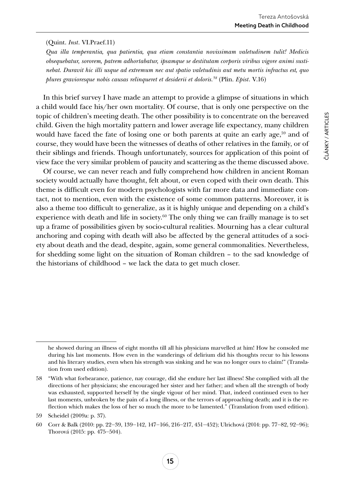#### (Quint. *Inst*. VI.Praef.11)

*Qua illa temperantia, qua patientia, qua etiam constantia novissimam valetudinem tulit! Medicis obsequebatur, sororem, patrem adhortabatur, ipsamque se destitutam corporis viribus vigore animi sustinebat. Duravit hic illi usque ad extremum nec aut spatio valetudinis aut metu mortis infractus est, quo plures gravioresque nobis causas relinqueret et desiderii et doloris.58* (Plin. *Epist*. V.16)

In this brief survey I have made an attempt to provide a glimpse of situations in which a child would face his/her own mortality. Of course, that is only one perspective on the topic of children's meeting death. The other possibility is to concentrate on the bereaved child. Given the high mortality pattern and lower average life expectancy, many children would have faced the fate of losing one or both parents at quite an early age, $59$  and of course, they would have been the witnesses of deaths of other relatives in the family, or of their siblings and friends. Though unfortunately, sources for application of this point of view face the very similar problem of paucity and scattering as the theme discussed above.

Of course, we can never reach and fully comprehend how children in ancient Roman society would actually have thought, felt about, or even coped with their own death. This theme is difficult even for modern psychologists with far more data and immediate contact, not to mention, even with the existence of some common patterns. Moreover, it is also a theme too difficult to generalize, as it is highly unique and depending on a child's experience with death and life in society. $60$  The only thing we can frailly manage is to set up a frame of possibilities given by socio-cultural realities. Mourning has a clear cultural anchoring and coping with death will also be affected by the general attitudes of a society about death and the dead, despite, again, some general commonalities. Nevertheless, for shedding some light on the situation of Roman children – to the sad knowledge of the historians of childhood – we lack the data to get much closer.

he showed during an illness of eight months till all his physicians marvelled at him! How he consoled me during his last moments. How even in the wanderings of delirium did his thoughts recur to his lessons and his literary studies, even when his strength was sinking and he was no longer ours to claim!" (Translation from used edition).

<sup>58</sup> "With what forbearance, patience, nay courage, did she endure her last illness! She complied with all the directions of her physicians; she encouraged her sister and her father; and when all the strength of body was exhausted, supported herself by the single vigour of her mind. That, indeed continued even to her last moments, unbroken by the pain of a long illness, or the terrors of approaching death; and it is the reflection which makes the loss of her so much the more to be lamented." (Translation from used edition).

<sup>59</sup> Scheidel (2009a: p. 37).

<sup>60</sup> Corr & Balk (2010: pp. 22‒39, 139‒142, 147‒166, 216‒217, 451‒452); Ulrichová (2014: pp. 77‒82, 92‒96); Thorová (2015: pp. 475‒504).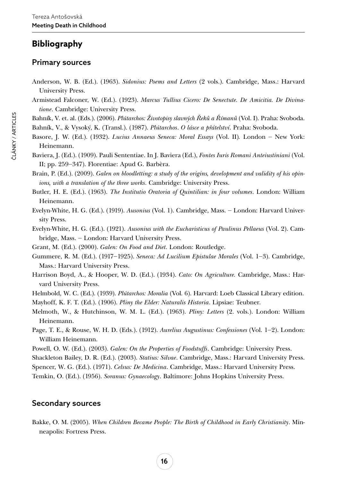# **Bibliography**

# Primary sources

- Anderson, W. B. (Ed.). (1963). *Sidonius: Poems and Letters* (2 vols.). Cambridge, Mass.: Harvard University Press.
- Armistead Falconer, W. (Ed.). (1923). *Marcus Tullius Cicero: De Senectute. De Amicitia. De Divinatione*. Cambridge: University Press.

Bahník, V. et. al. (Eds.). (2006). *Plútarchos: Životopisy slavných Řeků a Římanů* (Vol. I). Praha: Svoboda.

Bahník, V., & Vysoký, K. (Transl.). (1987). *Plútarchos*. *O lásce a přátelství*. Praha: Svoboda.

- Basore, J. W. (Ed.). (1932). *Lucius Annaeus Seneca: Moral Essays* (Vol. II)*.* London ‒ New York: Heinemann.
- Baviera, J. (Ed.). (1909). Pauli Sententiae. In J. Baviera (Ed.), *Fontes Iuris Romani Anteiustiniani* (Vol. II; pp. 259‒347). Florentiae: Apud G. Barbèra.
- Brain, P. (Ed.). (2009). *Galen on bloodletting: a study of the origins, development and validity of his opinions, with a translation of the three works*. Cambridge: University Press.
- Butler, H. E. (Ed.). (1963). *The Institutio Oratoria of Quintilian: in four volumes*. London: William Heinemann.
- Evelyn-White, H. G. (Ed.). (1919). *Ausonius* (Vol. 1). Cambridge, Mass. ‒ London: Harvard University Press.
- Evelyn-White, H. G. (Ed.). (1921). *Ausonius with the Eucharisticus of Paulinus Pellaeus* (Vol. 2). Cambridge, Mass. ‒ London: Harvard University Press.
- Grant, M. (Ed.). (2000). *Galen: On Food and Diet*. London: Routledge.
- Gummere, R. M. (Ed.). (1917‒1925). *Seneca: Ad Lucilium Epistulae Morales* (Vol. 1‒3). Cambridge, Mass.: Harvard University Press.
- Harrison Boyd, A., & Hooper, W. D. (Ed.). (1934). *Cato: On Agriculture.* Cambridge, Mass.: Harvard University Press.
- Helmbold, W. C. (Ed.). (1939). *Plútarchos: Moralia* (Vol. 6). Harvard: Loeb Classical Library edition.
- Mayhoff, K. F. T. (Ed.). (1906). *Pliny the Elder: Naturalis Historia*. Lipsiae: Teubner.
- Melmoth, W., & Hutchinson, W. M. L. (Ed.). (1963). *Pliny: Letters* (2. vols.). London: William Heinemann.
- Page, T. E., & Rouse, W. H. D. (Eds.). (1912). *Aurelius Augustinus: Confessiones* (Vol. 1‒2). London: William Heinemann.
- Powell, O. W. (Ed.). (2003). *Galen: On the Properties of Foodstuffs*. Cambridge: University Press.

Shackleton Bailey, D. R. (Ed.). (2003). *Statius: Silvae*. Cambridge, Mass.: Harvard University Press.

Spencer, W. G. (Ed.). (1971). *Celsus: De Medicina*. Cambridge, Mass.: Harvard University Press.

Temkin, O. (Ed.). (1956). *Soranus: Gynaecology*. Baltimore: Johns Hopkins University Press.

# Secondary sources

Bakke, O. M. (2005). *When Children Became People: The Birth of Childhood in Early Christianity*. Minneapolis: Fortress Press.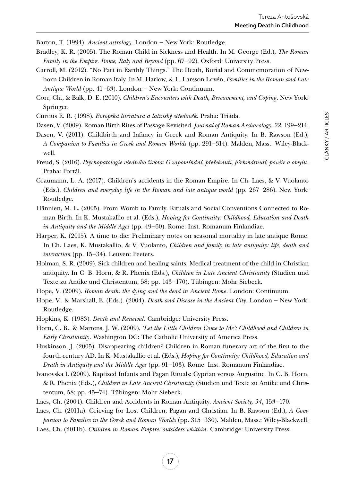Barton, T. (1994). *Ancient astrology*. London – New York: Routledge.

- Bradley, K. R. (2005). The Roman Child in Sickness and Health. In M. George (Ed.), *The Roman Family in the Empire. Rome, Italy and Beyond* (pp. 67–92). Oxford: University Press.
- Carroll, M. (2012). "No Part in Earthly Things." The Death, Burial and Commemoration of Newborn Children in Roman Italy. In M. Harlow, & L. Larsson Lovén, *Families in the Roman and Late Antique World* (pp. 41‒63). London ‒ New York: Continuum.
- Corr, Ch., & Balk, D. E. (2010). *Children's Encounters with Death, Bereavement, and Coping*. New York: Springer.
- Curtius E. R. (1998). *Evropská literatura a latinský středověk*. Praha: Triáda.
- Dasen, V. (2009). Roman Birth Rites of Passage Revisited. *Journal of Roman Archaeology*, 22, 199–214.
- Dasen, V. (2011). Childbirth and Infancy in Greek and Roman Antiquity. In B. Rawson (Ed.), *A Companion to Families in Greek and Roman Worlds* (pp. 291‒314). Malden, Mass.: Wiley-Blackwell.
- Freud, S. (2016). *Psychopatologie všedního života: O zapomínání, přeřeknutí, přehmátnutí, pověře a omylu*. Praha: Portál.
- Graumann, L. A. (2017). Children's accidents in the Roman Empire. In Ch. Laes, & V. Vuolanto (Eds.), *Children and everyday life in the Roman and late antique world* (pp. 267–286). New York: Routledge.
- Hännien, M. L. (2005). From Womb to Family. Rituals and Social Conventions Connected to Roman Birth. In K. Mustakallio et al. (Eds.), *Hoping for Continuity: Childhood, Education and Death in Antiquity and the Middle Ages* (pp. 49‒60). Rome: Inst. Romanum Finlandiae.
- Harper, K. (2015). A time to die: Preliminary notes on seasonal mortality in late antique Rome. In Ch. Laes, K. Mustakallio, & V. Vuolanto, *Children and family in late antiquity: life, death and interaction* (pp. 15–34). Leuven: Peeters.
- Holman, S. R. (2009). Sick children and healing saints: Medical treatment of the child in Christian antiquity. In C. B. Horn, & R. Phenix (Eds.), *Children in Late Ancient Christianity* (Studien und Texte zu Antike und Christentum, 58; pp. 143-170). Tübingen: Mohr Siebeck.
- Hope, V. (2009). *Roman death: the dying and the dead in Ancient Rome*. London: Continuum.
- Hope, V., & Marshall, E. (Eds.). (2004). *Death and Disease in the Ancient City*. London New York: Routledge.
- Hopkins, K. (1983). *Death and Renewal*. Cambridge: University Press.
- Horn, C. B., & Martens, J. W. (2009). *'Let the Little Children Come to Me': Childhood and Children in Early Christianity*. Washington DC: The Catholic University of America Press.
- Huskinson, J. (2005). Disappearing children? Children in Roman funerary art of the first to the fourth century AD. In K. Mustakallio et al. (Eds.), *Hoping for Continuity: Childhood, Education and Death in Antiquity and the Middle Ages* (pp. 91‒103). Rome: Inst. Romanum Finlandiae.
- Ivanovska I. (2009). Baptized Infants and Pagan Rituals: Cyprian versus Augustine*.* In C. B. Horn, & R. Phenix (Eds.), *Children in Late Ancient Christianity* (Studien und Texte zu Antike und Christentum, 58; pp. 45–74). Tübingen: Mohr Siebeck.
- Laes, Ch. (2004). Children and Accidents in Roman Antiquity. *Ancient Society, 34*, 153‒170.

Laes, Ch. (2011a). Grieving for Lost Children, Pagan and Christian. In B. Rawson (Ed.), *A Companion to Families in the Greek and Roman Worlds* (pp. 315‒330). Malden, Mass.: Wiley-Blackwell.

Laes, Ch. (2011b). *Children in Roman Empire: outsiders whithin*. Cambridge: University Press.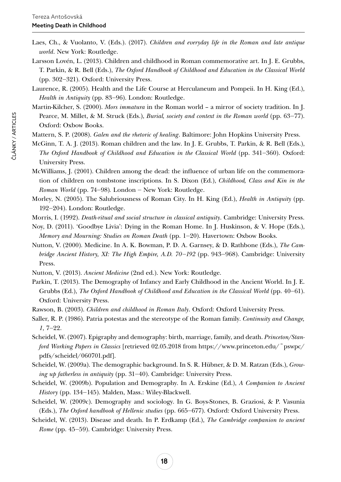- Laes, Ch., & Vuolanto, V. (Eds.). (2017). *Children and everyday life in the Roman and late antique world*. New York: Routledge.
- Larsson Lovén, L. (2013). Children and childhood in Roman commemorative art. In J. E. Grubbs, T. Parkin, & R. Bell (Eds.), *The Oxford Handbook of Childhood and Education in the Classical World* (pp. 302‒321). Oxford: University Press.
- Laurence, R. (2005). Health and the Life Course at Herculaneum and Pompeii. In H. King (Ed.), *Health in Antiquity* (pp. 83–96). London: Routledge.
- Martin-Kilcher, S. (2000). *Mors immatura* in the Roman world a mirror of society tradition. In J. Pearce, M. Millet, & M. Struck (Eds.), *Burial, society and context in the Roman world* (pp. 63–77). Oxford: Oxbow Books.
- Mattern, S. P. (2008). *Galen and the rhetoric of healing*. Baltimore: John Hopkins University Press.
- McGinn, T. A. J. (2013). Roman children and the law. In J. E. Grubbs, T. Parkin, & R. Bell (Eds.), *The Oxford Handbook of Childhood and Education in the Classical World* (pp. 341–360). Oxford: University Press.
- McWilliams, J. (2001). Children among the dead: the influence of urban life on the commemoration of children on tombstone inscriptions. In S. Dixon (Ed.), *Childhood, Class and Kin in the Roman World* (pp. 74‒98)*.* London ‒ New York: Routledge.
- Morley, N. (2005). The Salubriousness of Roman City. In H. King (Ed.), *Health in Antiquity* (pp. 192–204). London: Routledge.
- Morris, I. (1992). *Death-ritual and social structure in classical antiquity*. Cambridge: University Press.
- Noy, D. (2011). 'Goodbye Livia': Dying in the Roman Home. In J. Huskinson, & V. Hope (Eds.), *Memory and Mourning: Studies on Roman Death* (pp. 1‒20). Havertown: Oxbow Books.
- Nutton, V. (2000). Medicine. In A. K. Bowman, P. D. A. Garnsey, & D. Rathbone (Eds.), *The Cambridge Ancient History, XI: The High Empire, A.D. 70‒192* (pp. 943‒968). Cambridge: University Press.
- Nutton, V. (2013). *Ancient Medicine* (2nd ed.). New York: Routledge.
- Parkin, T. (2013). The Demography of Infancy and Early Childhood in the Ancient World. In J. E. Grubbs (Ed.), *The Oxford Handbook of Childhood and Education in the Classical World* (pp. 40–61). Oxford: University Press.
- Rawson, B. (2003). *Children and childhood in Roman Italy*. Oxford: Oxford University Press.
- Saller, R. P. (1986). Patria potestas and the stereotype of the Roman family. *Continuity and Change, 1*, 7‒22.
- Scheidel, W. (2007). Epigraphy and demography: birth, marriage, family, and death. *Princeton/Stanford Working Papers in Classics* [retrieved 02.05.2018 from [https://www.princeton.edu/~pswpc/](https://www.princeton.edu/~pswpc/pdfs/scheidel/060701.pdf) [pdfs/scheidel/060701.pdf](https://www.princeton.edu/~pswpc/pdfs/scheidel/060701.pdf)].
- Scheidel, W. (2009a). The demographic background. In S. R. Hübner, & D. M. Ratzan (Eds.), *Growing up fatherless in antiquity* (pp. 31–40). Cambridge: University Press.
- Scheidel, W. (2009b). Population and Demography. In A. Erskine (Ed.), *A Companion to Ancient History* (pp. 134‒145). Malden, Mass.: Wiley-Blackwell.
- Scheidel, W. (2009c). Demography and sociology. In G. Boys-Stones, B. Graziosi, & P. Vasunia (Eds.), *The Oxford handbook of Hellenic studies* (pp. 665‒677). Oxford: Oxford University Press.
- Scheidel, W. (2013). Disease and death. In P. Erdkamp (Ed.), *The Cambridge companion to ancient Rome* (pp. 45–59). Cambridge: University Press.